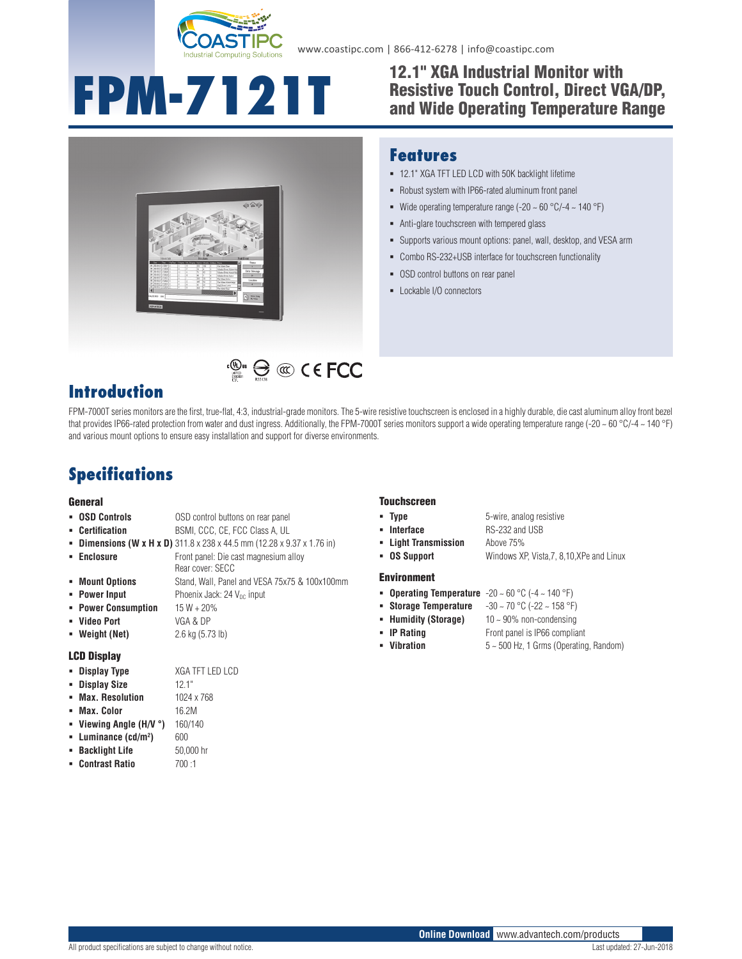

www.coastipc.com | 866-412-6278 | info@coastipc.com

# **FPM-7121T** <sup>12.1"</sup> XGA Industrial Monitor with<br>and Wide Operating Temperature

## Resistive Touch Control, Direct VGA/DP, and Wide Operating Temperature Range



#### **Features**

- 12.1" XGA TFT LED LCD with 50K backlight lifetime
- Robust system with IP66-rated aluminum front panel
- Wide operating temperature range (-20  $\sim$  60 °C/-4  $\sim$  140 °F)
- Anti-glare touchscreen with tempered glass
- Supports various mount options: panel, wall, desktop, and VESA arm
- Combo RS-232+USB interface for touchscreen functionality
- **-** OSD control buttons on rear panel
- Lockable I/O connectors

## **Introduction**

FPM-7000T series monitors are the first, true-flat, 4:3, industrial-grade monitors. The 5-wire resistive touchscreen is enclosed in a highly durable, die cast aluminum alloy front bezel that provides IP66-rated protection from water and dust ingress. Additionally, the FPM-7000T series monitors support a wide operating temperature range (-20 ~ 60 °C/-4 ~ 140 °F) and various mount options to ensure easy installation and support for diverse environments.

 $\mathbb{C}^{\mathbb{Q}_{\text{us}}}$   $\bigoplus$   $\mathbb{C}$   $\mathbb{C}$   $\in$  FCC

## **Specifications**

#### General

- **OSD Controls OSD** control buttons on rear panel
- **Certification** BSMI, CCC, CE, FCC Class A, UL
- **Dimensions (W x H x D)** 311.8 x 238 x 44.5 mm (12.28 x 9.37 x 1.76 in)
- **Enclosure Front panel: Die cast magnesium alloy** Rear cover: SECC
- **Mount Options** Stand, Wall, Panel and VESA 75x75 & 100x100mm
- **Power Input** Phoenix Jack: 24 V<sub>DC</sub> input
- **Power Consumption** 15 W + 20%
- **Video Port** VGA & DP
- 

#### LCD Display

- **Display Type** XGA TFT LED LCD
- **Display Size** 12.1"
- **Max. Resolution** 1024 x 768
- **Max. Color** 16.2M
- **Viewing Angle (H/V °)** 160/140
- **Luminance (cd/m2**
- **Backlight Life** 50,000 hr
- **Contrast Ratio** 700 :1

#### Touchscreen

- **Type 5**-wire, analog resistive
- **Interface** RS-232 and USB
- 
- **Light Transmission** Above 75%
- **OS Support** Windows XP, Vista,7, 8,10,XPe and Linux

#### Environment

- **Operating Temperature** -20 ~ 60 °C (-4 ~ 140 °F)
- **Storage Temperature** -30 ~ 70 °C (-22 ~ 158 °F)
- **Humidity (Storage)** 10 ~ 90% non-condensing
- **IP Rating Front panel is IP66 compliant**
- 
- **Vibration** 5 ~ 500 Hz, 1 Grms (Operating, Random)

All product specifications are subject to change without notice. Contact the change without notice.

- 
- **Weight (Net)** 2.6 kg (5.73 lb)

**)** 600